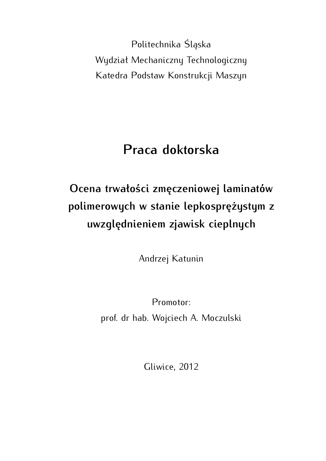Politechnika Śląska Wydział Mechaniczny Technologiczny Katedra Podstaw Konstrukcji Maszyn

## **Praca doktorska**

## **Ocena trwałości zmęczeniowej laminatów polimerowych w stanie lepkosprężystym z uwzględnieniem zjawisk cieplnych**

Andrzej Katunin

Promotor: prof. dr hab. Wojciech A. Moczulski

Gliwice, 2012